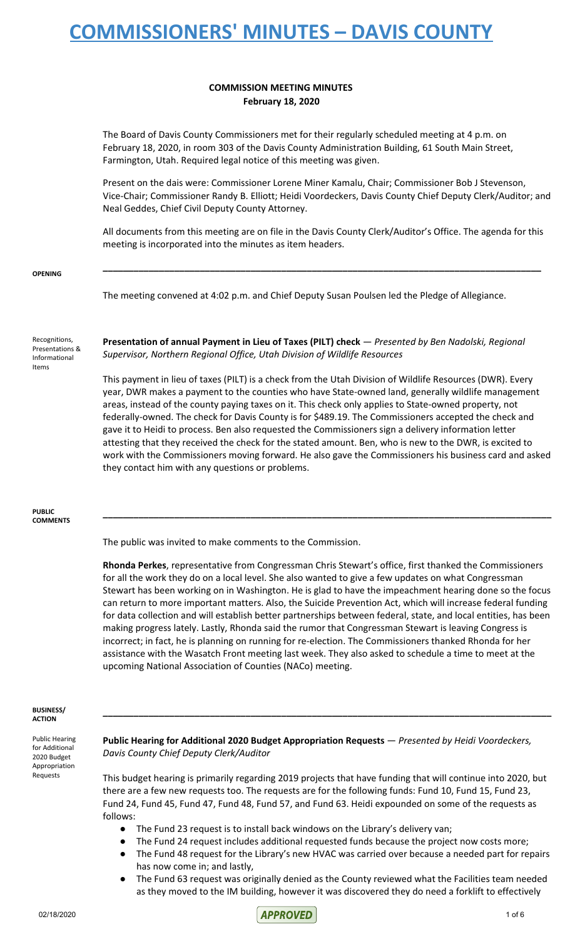### **COMMISSION MEETING MINUTES February 18, 2020**

The Board of Davis County Commissioners met for their regularly scheduled meeting at 4 p.m. on February 18, 2020, in room 303 of the Davis County Administration Building, 61 South Main Street, Farmington, Utah. Required legal notice of this meeting was given.

Present on the dais were: Commissioner Lorene Miner Kamalu, Chair; Commissioner Bob J Stevenson, Vice-Chair; Commissioner Randy B. Elliott; Heidi Voordeckers, Davis County Chief Deputy Clerk/Auditor; and Neal Geddes, Chief Civil Deputy County Attorney.

All documents from this meeting are on file in the Davis County Clerk/Auditor's Office. The agenda for this meeting is incorporated into the minutes as item headers.

**\_\_\_\_\_\_\_\_\_\_\_\_\_\_\_\_\_\_\_\_\_\_\_\_\_\_\_\_\_\_\_\_\_\_\_\_\_\_\_\_\_\_\_\_\_\_\_\_\_\_\_\_\_\_\_\_\_\_\_\_\_\_\_\_\_\_\_\_\_\_\_\_\_\_\_\_\_\_\_\_\_\_\_\_\_\_**

**OPENING**

The meeting convened at 4:02 p.m. and Chief Deputy Susan Poulsen led the Pledge of Allegiance.

Recognitions, Presentations & Informational Items

**Presentation of annual Payment in Lieu of Taxes (PILT) check** — *Presented by Ben Nadolski, Regional Supervisor, Northern Regional Office, Utah Division of Wildlife Resources*

This payment in lieu of taxes (PILT) is a check from the Utah Division of Wildlife Resources (DWR). Every year, DWR makes a payment to the counties who have State-owned land, generally wildlife management areas, instead of the county paying taxes on it. This check only applies to State-owned property, not federally-owned. The check for Davis County is for \$489.19. The Commissioners accepted the check and gave it to Heidi to process. Ben also requested the Commissioners sign a delivery information letter attesting that they received the check for the stated amount. Ben, who is new to the DWR, is excited to work with the Commissioners moving forward. He also gave the Commissioners his business card and asked they contact him with any questions or problems.

**\_\_\_\_\_\_\_\_\_\_\_\_\_\_\_\_\_\_\_\_\_\_\_\_\_\_\_\_\_\_\_\_\_\_\_\_\_\_\_\_\_\_\_\_\_\_\_\_\_\_\_\_\_\_\_\_\_\_\_\_\_\_\_\_\_\_\_\_\_\_\_\_\_\_\_\_\_\_\_\_\_\_\_\_\_\_\_\_**

**PUBLIC COMMENTS**

The public was invited to make comments to the Commission.

**Rhonda Perkes**, representative from Congressman Chris Stewart's office, first thanked the Commissioners for all the work they do on a local level. She also wanted to give a few updates on what Congressman Stewart has been working on in Washington. He is glad to have the impeachment hearing done so the focus can return to more important matters. Also, the Suicide Prevention Act, which will increase federal funding for data collection and will establish better partnerships between federal, state, and local entities, has been making progress lately. Lastly, Rhonda said the rumor that Congressman Stewart is leaving Congress is incorrect; in fact, he is planning on running for re-election. The Commissioners thanked Rhonda for her assistance with the Wasatch Front meeting last week. They also asked to schedule a time to meet at the upcoming National Association of Counties (NACo) meeting.

#### **BUSINESS/ ACTION**

Public Hearing for Additional 2020 Budget Appropriation Requests

**Public Hearing for Additional 2020 Budget Appropriation Requests** — *Presented by Heidi Voordeckers, Davis County Chief Deputy Clerk/Auditor*

**\_\_\_\_\_\_\_\_\_\_\_\_\_\_\_\_\_\_\_\_\_\_\_\_\_\_\_\_\_\_\_\_\_\_\_\_\_\_\_\_\_\_\_\_\_\_\_\_\_\_\_\_\_\_\_\_\_\_\_\_\_\_\_\_\_\_\_\_\_\_\_\_\_\_\_\_\_\_\_\_\_\_\_\_\_\_\_\_**

This budget hearing is primarily regarding 2019 projects that have funding that will continue into 2020, but there are a few new requests too. The requests are for the following funds: Fund 10, Fund 15, Fund 23, Fund 24, Fund 45, Fund 47, Fund 48, Fund 57, and Fund 63. Heidi expounded on some of the requests as follows:

- The Fund 23 request is to install back windows on the Library's delivery van;
- The Fund 24 request includes additional requested funds because the project now costs more;
- The Fund 48 request for the Library's new HVAC was carried over because a needed part for repairs has now come in; and lastly,
- The Fund 63 request was originally denied as the County reviewed what the Facilities team needed as they moved to the IM building, however it was discovered they do need a forklift to effectively

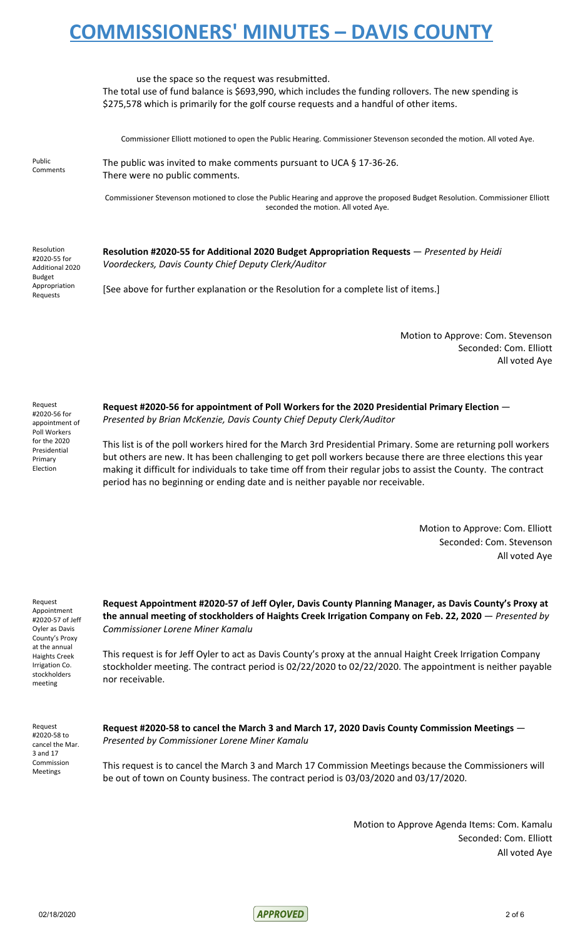|                                                                                             | use the space so the request was resubmitted.<br>The total use of fund balance is \$693,990, which includes the funding rollovers. The new spending is<br>\$275,578 which is primarily for the golf course requests and a handful of other items. |
|---------------------------------------------------------------------------------------------|---------------------------------------------------------------------------------------------------------------------------------------------------------------------------------------------------------------------------------------------------|
|                                                                                             | Commissioner Elliott motioned to open the Public Hearing. Commissioner Stevenson seconded the motion. All voted Aye.                                                                                                                              |
| Public<br>Comments                                                                          | The public was invited to make comments pursuant to UCA § 17-36-26.<br>There were no public comments.                                                                                                                                             |
|                                                                                             | Commissioner Stevenson motioned to close the Public Hearing and approve the proposed Budget Resolution. Commissioner Elliott<br>seconded the motion. All voted Aye.                                                                               |
| Resolution<br>#2020-55 for<br>Additional 2020<br><b>Budget</b><br>Appropriation<br>Requests | Resolution #2020-55 for Additional 2020 Budget Appropriation Requests — Presented by Heidi<br>Voordeckers, Davis County Chief Deputy Clerk/Auditor                                                                                                |
|                                                                                             | [See above for further explanation or the Resolution for a complete list of items.]                                                                                                                                                               |

Motion to Approve: Com. Stevenson Seconded: Com. Elliott All voted Aye

| Request        |
|----------------|
| #2020-56 for   |
| appointment of |
| Poll Workers   |
| for the 2020   |
| Presidential   |
| Primary        |
| Election       |

**Request #2020-56 for appointment of Poll Workers for the 2020 Presidential Primary Election** — *Presented by Brian McKenzie, Davis County Chief Deputy Clerk/Auditor*

This list is of the poll workers hired for the March 3rd Presidential Primary. Some are returning poll workers but others are new. It has been challenging to get poll workers because there are three elections this year making it difficult for individuals to take time off from their regular jobs to assist the County. The contract period has no beginning or ending date and is neither payable nor receivable.

> Motion to Approve: Com. Elliott Seconded: Com. Stevenson All voted Aye

Request Appointment #2020-57 of Jeff Oyler as Davis County's Proxy at the annual Haights Creek Irrigation Co. stockholders meeting

**Request Appointment #2020-57 of Jeff Oyler, Davis County Planning Manager, as Davis County's Proxy at the annual meeting of stockholders of Haights Creek Irrigation Company on Feb. 22, 2020** — *Presented by Commissioner Lorene Miner Kamalu*

This request is for Jeff Oyler to act as Davis County's proxy at the annual Haight Creek Irrigation Company stockholder meeting. The contract period is 02/22/2020 to 02/22/2020. The appointment is neither payable nor receivable.

Request #2020-58 to cancel the Mar. 3 and 17 Commission Meetings

**Request #2020-58 to cancel the March 3 and March 17, 2020 Davis County Commission Meetings** — *Presented by Commissioner Lorene Miner Kamalu*

This request is to cancel the March 3 and March 17 Commission Meetings because the Commissioners will be out of town on County business. The contract period is 03/03/2020 and 03/17/2020.

> Motion to Approve Agenda Items: Com. Kamalu Seconded: Com. Elliott All voted Aye

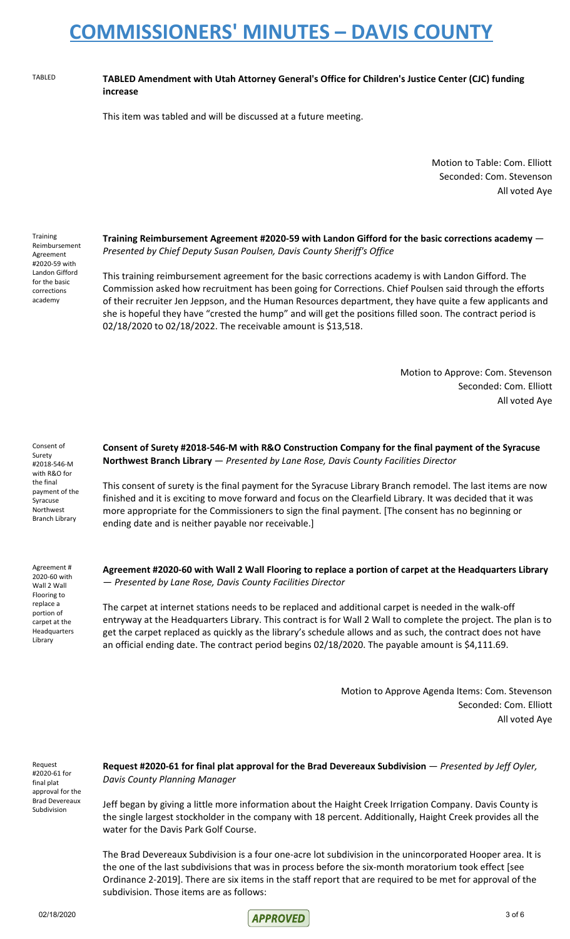#### TABLED **TABLED Amendment with Utah Attorney General's Office for Children's Justice Center (CJC) funding increase**

This item was tabled and will be discussed at a future meeting.

Motion to Table: Com. Elliott Seconded: Com. Stevenson All voted Aye

**Training** Reimbursement Agreement #2020-59 with Landon Gifford for the basic corrections academy

**Training Reimbursement Agreement #2020-59 with Landon Gifford for the basic corrections academy** — *Presented by Chief Deputy Susan Poulsen, Davis County Sheriff's Office*

This training reimbursement agreement for the basic corrections academy is with Landon Gifford. The Commission asked how recruitment has been going for Corrections. Chief Poulsen said through the efforts of their recruiter Jen Jeppson, and the Human Resources department, they have quite a few applicants and she is hopeful they have "crested the hump" and will get the positions filled soon. The contract period is 02/18/2020 to 02/18/2022. The receivable amount is \$13,518.

> Motion to Approve: Com. Stevenson Seconded: Com. Elliott All voted Aye

Consent of Surety #2018-546-M with R&O for the final payment of the Syracuse Northwest Branch Library

Agreement # 2020-60 with Wall 2 Wall Flooring to replace a portion of carpet at the Headquarters Library

**Consent of Surety #2018-546-M with R&O Construction Company for the final payment of the Syracuse Northwest Branch Library** — *Presented by Lane Rose, Davis County Facilities Director*

This consent of surety is the final payment for the Syracuse Library Branch remodel. The last items are now finished and it is exciting to move forward and focus on the Clearfield Library. It was decided that it was more appropriate for the Commissioners to sign the final payment. [The consent has no beginning or ending date and is neither payable nor receivable.]

**Agreement #2020-60 with Wall 2 Wall Flooring to replace a portion of carpet at the Headquarters Library** — *Presented by Lane Rose, Davis County Facilities Director*

The carpet at internet stations needs to be replaced and additional carpet is needed in the walk-off entryway at the Headquarters Library. This contract is for Wall 2 Wall to complete the project. The plan is to get the carpet replaced as quickly as the library's schedule allows and as such, the contract does not have an official ending date. The contract period begins 02/18/2020. The payable amount is \$4,111.69.

> Motion to Approve Agenda Items: Com. Stevenson Seconded: Com. Elliott All voted Aye

Request #2020-61 for final plat approval for the Brad Devereaux Subdivision

**Request #2020-61 for final plat approval for the Brad Devereaux Subdivision** — *Presented by Jeff Oyler, Davis County Planning Manager*

Jeff began by giving a little more information about the Haight Creek Irrigation Company. Davis County is the single largest stockholder in the company with 18 percent. Additionally, Haight Creek provides all the water for the Davis Park Golf Course.

The Brad Devereaux Subdivision is a four one-acre lot subdivision in the unincorporated Hooper area. It is the one of the last subdivisions that was in process before the six-month moratorium took effect [see Ordinance 2-2019]. There are six items in the staff report that are required to be met for approval of the subdivision. Those items are as follows:

 $02/18/2020$  3 of 6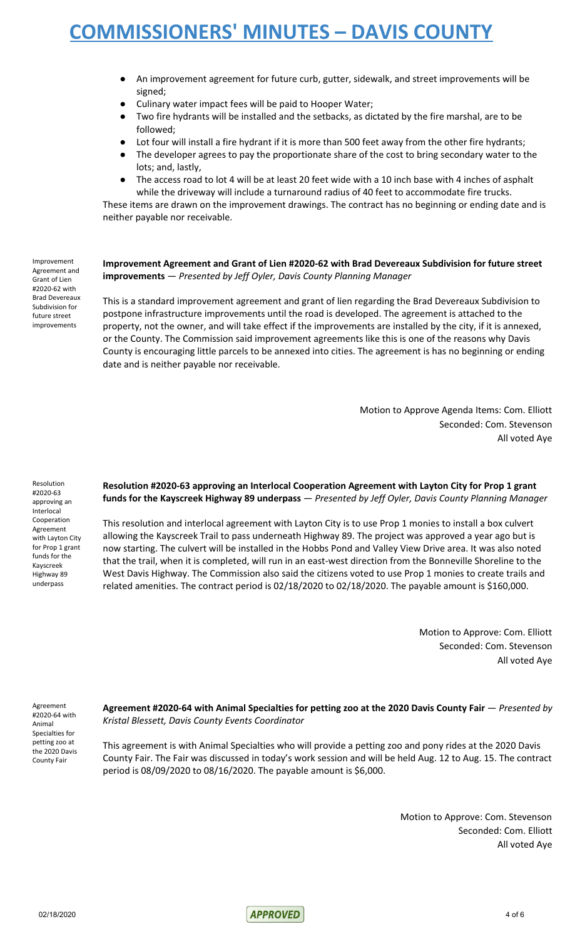- An improvement agreement for future curb, gutter, sidewalk, and street improvements will be signed;
- Culinary water impact fees will be paid to Hooper Water;
- Two fire hydrants will be installed and the setbacks, as dictated by the fire marshal, are to be followed;
- Lot four will install a fire hydrant if it is more than 500 feet away from the other fire hydrants;
- The developer agrees to pay the proportionate share of the cost to bring secondary water to the lots; and, lastly,
- The access road to lot 4 will be at least 20 feet wide with a 10 inch base with 4 inches of asphalt while the driveway will include a turnaround radius of 40 feet to accommodate fire trucks.

These items are drawn on the improvement drawings. The contract has no beginning or ending date and is neither payable nor receivable.

Improvement Agreement and Grant of Lien #2020-62 with Brad Devereaux Subdivision for future street improvements

**Improvement Agreement and Grant of Lien #2020-62 with Brad Devereaux Subdivision for future street improvements** — *Presented by Jeff Oyler, Davis County Planning Manager*

This is a standard improvement agreement and grant of lien regarding the Brad Devereaux Subdivision to postpone infrastructure improvements until the road is developed. The agreement is attached to the property, not the owner, and will take effect if the improvements are installed by the city, if it is annexed, or the County. The Commission said improvement agreements like this is one of the reasons why Davis County is encouraging little parcels to be annexed into cities. The agreement is has no beginning or ending date and is neither payable nor receivable.

> Motion to Approve Agenda Items: Com. Elliott Seconded: Com. Stevenson All voted Aye

Resolution #2020-63 approving an Interlocal Cooperation Agreement with Layton City for Prop 1 grant funds for the Kayscreek Highway 89 underpass

#### **Resolution #2020-63 approving an Interlocal Cooperation Agreement with Layton City for Prop 1 grant funds for the Kayscreek Highway 89 underpass** — *Presented by Jeff Oyler, Davis County Planning Manager*

This resolution and interlocal agreement with Layton City is to use Prop 1 monies to install a box culvert allowing the Kayscreek Trail to pass underneath Highway 89. The project was approved a year ago but is now starting. The culvert will be installed in the Hobbs Pond and Valley View Drive area. It was also noted that the trail, when it is completed, will run in an east-west direction from the Bonneville Shoreline to the West Davis Highway. The Commission also said the citizens voted to use Prop 1 monies to create trails and related amenities. The contract period is 02/18/2020 to 02/18/2020. The payable amount is \$160,000.

> Motion to Approve: Com. Elliott Seconded: Com. Stevenson All voted Aye

Agreement #2020-64 with Animal Specialties for petting zoo at the 2020 Davis County Fair

**Agreement #2020-64 with Animal Specialties for petting zoo at the 2020 Davis County Fair** — *Presented by Kristal Blessett, Davis County Events Coordinator*

This agreement is with Animal Specialties who will provide a petting zoo and pony rides at the 2020 Davis County Fair. The Fair was discussed in today's work session and will be held Aug. 12 to Aug. 15. The contract period is 08/09/2020 to 08/16/2020. The payable amount is \$6,000.

> Motion to Approve: Com. Stevenson Seconded: Com. Elliott All voted Aye

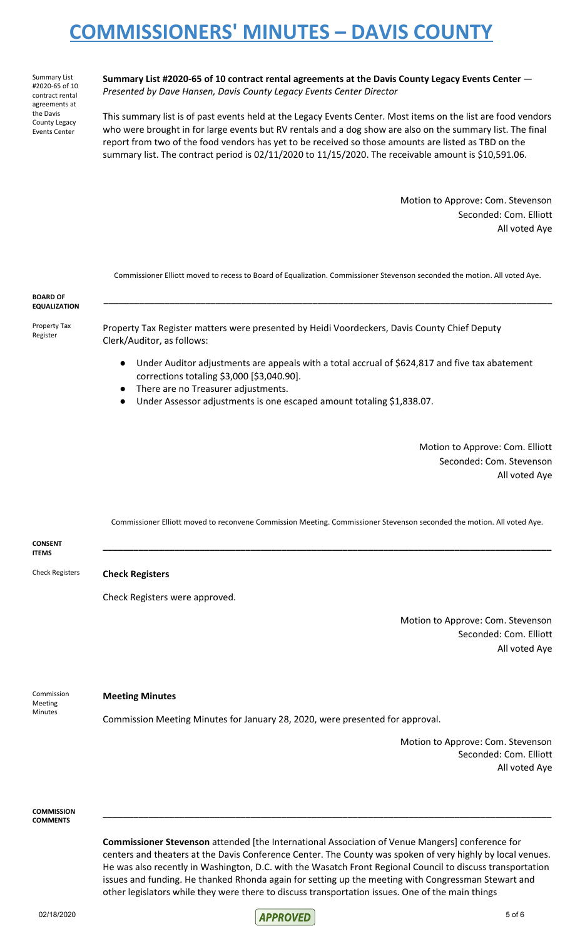Summary List #2020-65 of 10 contract rental agreements at the Davis County Legacy Events Center

**Summary List #2020-65 of 10 contract rental agreements at the Davis County Legacy Events Center** — *Presented by Dave Hansen, Davis County Legacy Events Center Director*

This summary list is of past events held at the Legacy Events Center. Most items on the list are food vendors who were brought in for large events but RV rentals and a dog show are also on the summary list. The final report from two of the food vendors has yet to be received so those amounts are listed as TBD on the summary list. The contract period is 02/11/2020 to 11/15/2020. The receivable amount is \$10,591.06.

> Motion to Approve: Com. Stevenson Seconded: Com. Elliott All voted Aye

|                                         | Commissioner Elliott moved to recess to Board of Equalization. Commissioner Stevenson seconded the motion. All voted Aye.                                                                                                                                                                                                                                                                                                                 |
|-----------------------------------------|-------------------------------------------------------------------------------------------------------------------------------------------------------------------------------------------------------------------------------------------------------------------------------------------------------------------------------------------------------------------------------------------------------------------------------------------|
| <b>BOARD OF</b><br><b>EQUALIZATION</b>  |                                                                                                                                                                                                                                                                                                                                                                                                                                           |
| Property Tax<br>Register                | Property Tax Register matters were presented by Heidi Voordeckers, Davis County Chief Deputy<br>Clerk/Auditor, as follows:                                                                                                                                                                                                                                                                                                                |
|                                         | Under Auditor adjustments are appeals with a total accrual of \$624,817 and five tax abatement<br>$\bullet$<br>corrections totaling \$3,000 [\$3,040.90].                                                                                                                                                                                                                                                                                 |
|                                         | There are no Treasurer adjustments.<br>Under Assessor adjustments is one escaped amount totaling \$1,838.07.                                                                                                                                                                                                                                                                                                                              |
|                                         | Motion to Approve: Com. Elliott                                                                                                                                                                                                                                                                                                                                                                                                           |
|                                         | Seconded: Com. Stevenson<br>All voted Aye                                                                                                                                                                                                                                                                                                                                                                                                 |
|                                         | Commissioner Elliott moved to reconvene Commission Meeting. Commissioner Stevenson seconded the motion. All voted Aye.                                                                                                                                                                                                                                                                                                                    |
| <b>CONSENT</b><br><b>ITEMS</b>          |                                                                                                                                                                                                                                                                                                                                                                                                                                           |
| <b>Check Registers</b>                  | <b>Check Registers</b>                                                                                                                                                                                                                                                                                                                                                                                                                    |
|                                         | Check Registers were approved.                                                                                                                                                                                                                                                                                                                                                                                                            |
|                                         | Motion to Approve: Com. Stevenson                                                                                                                                                                                                                                                                                                                                                                                                         |
|                                         | Seconded: Com. Elliott<br>All voted Aye                                                                                                                                                                                                                                                                                                                                                                                                   |
| Commission<br>Meeting<br><b>Minutes</b> | <b>Meeting Minutes</b>                                                                                                                                                                                                                                                                                                                                                                                                                    |
|                                         | Commission Meeting Minutes for January 28, 2020, were presented for approval.                                                                                                                                                                                                                                                                                                                                                             |
|                                         | Motion to Approve: Com. Stevenson<br>Seconded: Com. Elliott<br>All voted Aye                                                                                                                                                                                                                                                                                                                                                              |
| <b>COMMISSION</b><br><b>COMMENTS</b>    |                                                                                                                                                                                                                                                                                                                                                                                                                                           |
|                                         | <b>Commissioner Stevenson</b> attended [the International Association of Venue Mangers] conference for<br>centers and theaters at the Davis Conference Center. The County was spoken of very highly by local venues.<br>He was also recently in Washington, D.C. with the Wasatch Front Regional Council to discuss transportation<br>issues and funding. He thanked Rhonda again for setting up the meeting with Congressman Stewart and |

02/18/2020 5 of 6

other legislators while they were there to discuss transportation issues. One of the main things